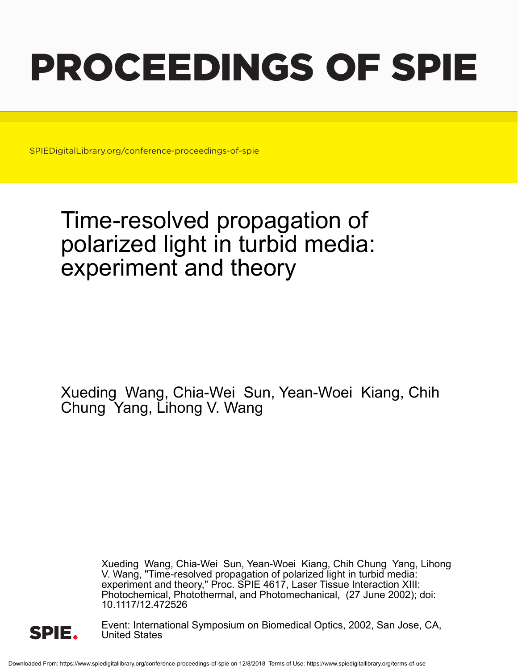# PROCEEDINGS OF SPIE

SPIEDigitalLibrary.org/conference-proceedings-of-spie

## Time-resolved propagation of polarized light in turbid media: experiment and theory

Xueding Wang, Chia-Wei Sun, Yean-Woei Kiang, Chih Chung Yang, Lihong V. Wang

> Xueding Wang, Chia-Wei Sun, Yean-Woei Kiang, Chih Chung Yang, Lihong V. Wang, "Time-resolved propagation of polarized light in turbid media: experiment and theory," Proc. SPIE 4617, Laser Tissue Interaction XIII: Photochemical, Photothermal, and Photomechanical, (27 June 2002); doi: 10.1117/12.472526



Event: International Symposium on Biomedical Optics, 2002, San Jose, CA, United States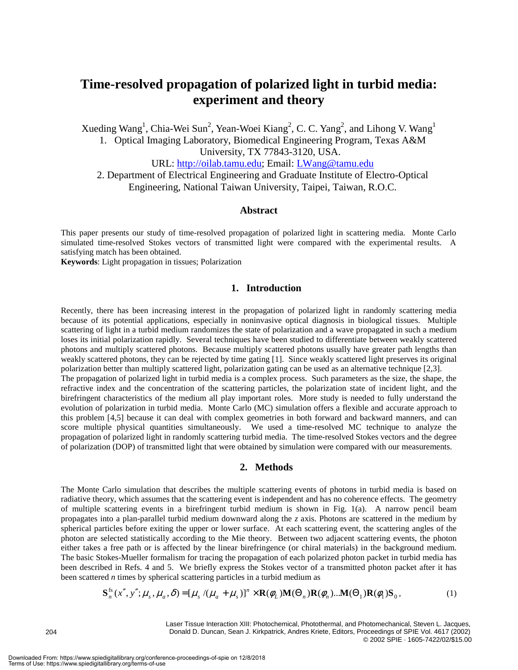### **Time-resolved propagation of polarized light in turbid media: experiment and theory**

Xueding Wang<sup>1</sup>, Chia-Wei Sun<sup>2</sup>, Yean-Woei Kiang<sup>2</sup>, C. C. Yang<sup>2</sup>, and Lihong V. Wang<sup>1</sup> 1. Optical Imaging Laboratory, Biomedical Engineering Program, Texas A&M University, TX 77843-3120, USA. URL: http://oilab.tamu.edu; Email: LWang@tamu.edu

2. Department of Electrical Engineering and Graduate Institute of Electro-Optical Engineering, National Taiwan University, Taipei, Taiwan, R.O.C.

#### **Abstract**

This paper presents our study of time-resolved propagation of polarized light in scattering media. Monte Carlo simulated time-resolved Stokes vectors of transmitted light were compared with the experimental results. A satisfying match has been obtained.

**Keywords**: Light propagation in tissues; Polarization

#### **1. Introduction**

Recently, there has been increasing interest in the propagation of polarized light in randomly scattering media because of its potential applications, especially in noninvasive optical diagnosis in biological tissues. Multiple scattering of light in a turbid medium randomizes the state of polarization and a wave propagated in such a medium loses its initial polarization rapidly. Several techniques have been studied to differentiate between weakly scattered photons and multiply scattered photons. Because multiply scattered photons usually have greater path lengths than weakly scattered photons, they can be rejected by time gating [1]. Since weakly scattered light preserves its original polarization better than multiply scattered light, polarization gating can be used as an alternative technique [2,3]. The propagation of polarized light in turbid media is a complex process. Such parameters as the size, the shape, the refractive index and the concentration of the scattering particles, the polarization state of incident light, and the birefringent characteristics of the medium all play important roles. More study is needed to fully understand the evolution of polarization in turbid media. Monte Carlo (MC) simulation offers a flexible and accurate approach to this problem [4,5] because it can deal with complex geometries in both forward and backward manners, and can score multiple physical quantities simultaneously. We used a time-resolved MC technique to analyze the propagation of polarized light in randomly scattering turbid media. The time-resolved Stokes vectors and the degree of polarization (DOP) of transmitted light that were obtained by simulation were compared with our measurements.

#### **2. Methods**

The Monte Carlo simulation that describes the multiple scattering events of photons in turbid media is based on radiative theory, which assumes that the scattering event is independent and has no coherence effects. The geometry of multiple scattering events in a birefringent turbid medium is shown in Fig. 1(a). A narrow pencil beam propagates into a plan-parallel turbid medium downward along the *z* axis. Photons are scattered in the medium by spherical particles before exiting the upper or lower surface. At each scattering event, the scattering angles of the photon are selected statistically according to the Mie theory. Between two adjacent scattering events, the photon either takes a free path or is affected by the linear birefringence (or chiral materials) in the background medium. The basic Stokes-Mueller formalism for tracing the propagation of each polarized photon packet in turbid media has been described in Refs. 4 and 5. We briefly express the Stokes vector of a transmitted photon packet after it has been scattered *n* times by spherical scattering particles in a turbid medium as

$$
\mathbf{S}_{n}^{\text{fs}}(x'', y''; \mu_s, \mu_a, \delta) = [\mu_s / (\mu_a + \mu_s)]^n \times \mathbf{R}(\phi_L) \mathbf{M}(\Theta_n) \mathbf{R}(\phi_n) \dots \mathbf{M}(\Theta_1) \mathbf{R}(\phi_1) \mathbf{S}_0, \tag{1}
$$

Laser Tissue Interaction XIII: Photochemical, Photothermal, and Photomechanical, Steven L. Jacques, Donald D. Duncan, Sean J. Kirkpatrick, Andres Kriete, Editors, Proceedings of SPIE Vol. 4617 (2002) © 2002 SPIE · 1605-7422/02/\$15.00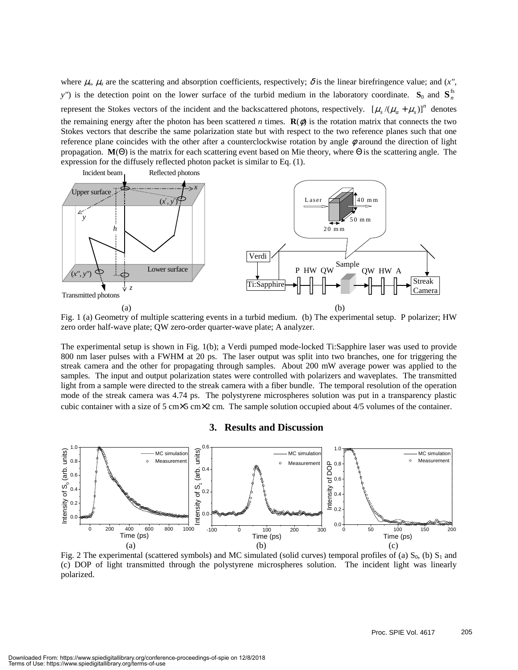where  $\mu_s$ ,  $\mu_a$  are the scattering and absorption coefficients, respectively;  $\delta$  is the linear birefringence value; and (*x*", *y*") is the detection point on the lower surface of the turbid medium in the laboratory coordinate.  $S_0$  and  $S_n^s$ represent the Stokes vectors of the incident and the backscattered photons, respectively.  $[\mu_s/(\mu_a + \mu_s)]^n$  denotes the remaining energy after the photon has been scattered *n* times.  $\mathbf{R}(\phi)$  is the rotation matrix that connects the two Stokes vectors that describe the same polarization state but with respect to the two reference planes such that one reference plane coincides with the other after a counterclockwise rotation by angle  $\phi$  around the direction of light propagation. **M**(Θ) is the matrix for each scattering event based on Mie theory, where Θ is the scattering angle. The expression for the diffusely reflected photon packet is similar to Eq. (1).



Fig. 1 (a) Geometry of multiple scattering events in a turbid medium. (b) The experimental setup. P polarizer; HW zero order half-wave plate; QW zero-order quarter-wave plate; A analyzer.

The experimental setup is shown in Fig. 1(b); a Verdi pumped mode-locked Ti:Sapphire laser was used to provide 800 nm laser pulses with a FWHM at 20 ps. The laser output was split into two branches, one for triggering the streak camera and the other for propagating through samples. About 200 mW average power was applied to the samples. The input and output polarization states were controlled with polarizers and waveplates. The transmitted light from a sample were directed to the streak camera with a fiber bundle. The temporal resolution of the operation mode of the streak camera was 4.74 ps. The polystyrene microspheres solution was put in a transparency plastic cubic container with a size of 5 cm×5 cm×2 cm. The sample solution occupied about 4/5 volumes of the container.

#### **3. Results and Discussion**



Fig. 2 The experimental (scattered symbols) and MC simulated (solid curves) temporal profiles of (a)  $S_0$ , (b)  $S_1$  and (c) DOP of light transmitted through the polystyrene microspheres solution. The incident light was linearly polarized.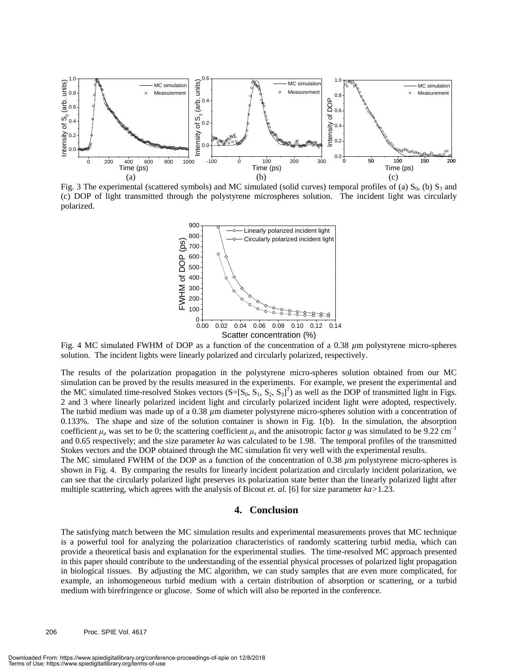

Fig. 3 The experimental (scattered symbols) and MC simulated (solid curves) temporal profiles of (a)  $S_0$ , (b)  $S_3$  and (c) DOP of light transmitted through the polystyrene microspheres solution. The incident light was circularly polarized.



Fig. 4 MC simulated FWHM of DOP as a function of the concentration of a 0.38 *µ*m polystyrene micro-spheres solution. The incident lights were linearly polarized and circularly polarized, respectively.

The results of the polarization propagation in the polystyrene micro-spheres solution obtained from our MC simulation can be proved by the results measured in the experiments. For example, we present the experimental and the MC simulated time-resolved Stokes vectors  $(S=[S_0, S_1, S_2, S_3]^T)$  as well as the DOP of transmitted light in Figs. 2 and 3 where linearly polarized incident light and circularly polarized incident light were adopted, respectively. The turbid medium was made up of a 0.38 *µ*m diameter polystyrene micro-spheres solution with a concentration of 0.133%. The shape and size of the solution container is shown in Fig. 1(b). In the simulation, the absorption coefficient  $\mu_a$  was set to be 0; the scattering coefficient  $\mu_s$  and the anisotropic factor *g* was simulated to be 9.22 cm<sup>-1</sup> and 0.65 respectively; and the size parameter *ka* was calculated to be 1.98. The temporal profiles of the transmitted Stokes vectors and the DOP obtained through the MC simulation fit very well with the experimental results.

The MC simulated FWHM of the DOP as a function of the concentration of 0.38  $\mu$ m polystyrene micro-spheres is shown in Fig. 4. By comparing the results for linearly incident polarization and circularly incident polarization, we can see that the circularly polarized light preserves its polarization state better than the linearly polarized light after multiple scattering, which agrees with the analysis of Bicout *et. al.* [6] for size parameter *ka>*1.23.

#### **4. Conclusion**

The satisfying match between the MC simulation results and experimental measurements proves that MC technique is a powerful tool for analyzing the polarization characteristics of randomly scattering turbid media, which can provide a theoretical basis and explanation for the experimental studies. The time-resolved MC approach presented in this paper should contribute to the understanding of the essential physical processes of polarized light propagation in biological tissues. By adjusting the MC algorithm, we can study samples that are even more complicated, for example, an inhomogeneous turbid medium with a certain distribution of absorption or scattering, or a turbid medium with birefringence or glucose. Some of which will also be reported in the conference.